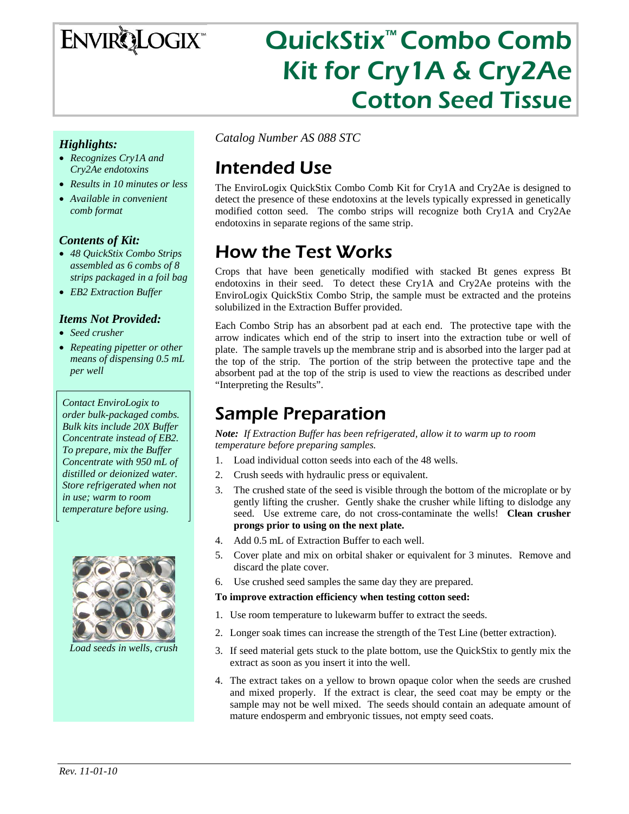# **ENVIRQLOGIX**

# QuickStix™ Combo Comb Kit for Cry1A & Cry2Ae Cotton Seed Tissue

### *Highlights:*

- *Recognizes Cry1A and Cry2Ae endotoxins*
- *Results in 10 minutes or less*
- *Available in convenient comb format*

#### *Contents of Kit:*

- *48 QuickStix Combo Strips assembled as 6 combs of 8 strips packaged in a foil bag*
- *EB2 Extraction Buffer*

#### *Items Not Provided:*

- *Seed crusher*
- *Repeating pipetter or other means of dispensing 0.5 mL per well*

*Contact EnviroLogix to order bulk-packaged combs. Bulk kits include 20X Buffer Concentrate instead of EB2. To prepare, mix the Buffer Concentrate with 950 mL of distilled or deionized water. Store refrigerated when not in use; warm to room temperature before using.* 



*Load seeds in wells, crush* 

*Catalog Number AS 088 STC* 

## Intended Use

The EnviroLogix QuickStix Combo Comb Kit for Cry1A and Cry2Ae is designed to detect the presence of these endotoxins at the levels typically expressed in genetically modified cotton seed. The combo strips will recognize both Cry1A and Cry2Ae endotoxins in separate regions of the same strip.

### How the Test Works

Crops that have been genetically modified with stacked Bt genes express Bt endotoxins in their seed. To detect these Cry1A and Cry2Ae proteins with the EnviroLogix QuickStix Combo Strip, the sample must be extracted and the proteins solubilized in the Extraction Buffer provided.

Each Combo Strip has an absorbent pad at each end. The protective tape with the arrow indicates which end of the strip to insert into the extraction tube or well of plate. The sample travels up the membrane strip and is absorbed into the larger pad at the top of the strip. The portion of the strip between the protective tape and the absorbent pad at the top of the strip is used to view the reactions as described under "Interpreting the Results".

### Sample Preparation

*Note: If Extraction Buffer has been refrigerated, allow it to warm up to room temperature before preparing samples.* 

- 1. Load individual cotton seeds into each of the 48 wells.
- 2. Crush seeds with hydraulic press or equivalent.
- 3. The crushed state of the seed is visible through the bottom of the microplate or by gently lifting the crusher. Gently shake the crusher while lifting to dislodge any seed. Use extreme care, do not cross-contaminate the wells! **Clean crusher prongs prior to using on the next plate.**
- 4. Add 0.5 mL of Extraction Buffer to each well.
- 5. Cover plate and mix on orbital shaker or equivalent for 3 minutes. Remove and discard the plate cover.
- 6. Use crushed seed samples the same day they are prepared.

#### **To improve extraction efficiency when testing cotton seed:**

- 1. Use room temperature to lukewarm buffer to extract the seeds.
- 2. Longer soak times can increase the strength of the Test Line (better extraction).
- 3. If seed material gets stuck to the plate bottom, use the QuickStix to gently mix the extract as soon as you insert it into the well.
- 4. The extract takes on a yellow to brown opaque color when the seeds are crushed and mixed properly. If the extract is clear, the seed coat may be empty or the sample may not be well mixed. The seeds should contain an adequate amount of mature endosperm and embryonic tissues, not empty seed coats.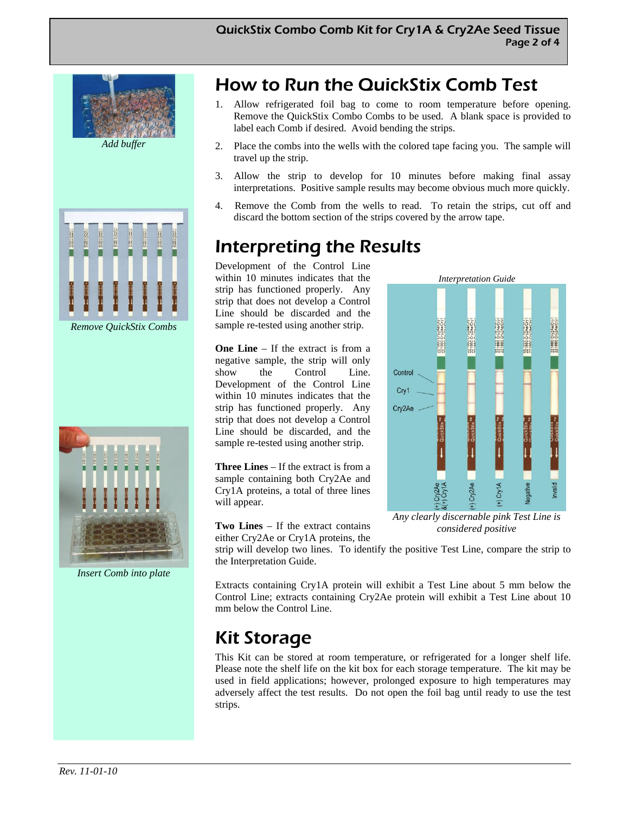





*Insert Comb into plate* 

# How to Run the QuickStix Comb Test

- 1. Allow refrigerated foil bag to come to room temperature before opening. Remove the QuickStix Combo Combs to be used. A blank space is provided to label each Comb if desired. Avoid bending the strips.
- 2. Place the combs into the wells with the colored tape facing you. The sample will travel up the strip.
- 3. Allow the strip to develop for 10 minutes before making final assay interpretations. Positive sample results may become obvious much more quickly.
- 4. Remove the Comb from the wells to read. To retain the strips, cut off and discard the bottom section of the strips covered by the arrow tape.

Control Cry1 Cry2Ae

### Interpreting the Results

Development of the Control Line within 10 minutes indicates that the strip has functioned properly. Any strip that does not develop a Control Line should be discarded and the sample re-tested using another strip.

**One Line** – If the extract is from a negative sample, the strip will only show the Control Line. Development of the Control Line within 10 minutes indicates that the strip has functioned properly. Any strip that does not develop a Control Line should be discarded, and the sample re-tested using another strip.

**Three Lines** – If the extract is from a sample containing both Cry2Ae and Cry1A proteins, a total of three lines will appear.

valid *Any clearly discernable pink Test Line is* 

*considered positive* 

*Interpretation Guide* 

**Two Lines** – If the extract contains either Cry2Ae or Cry1A proteins, the

strip will develop two lines. To identify the positive Test Line, compare the strip to the Interpretation Guide.

Extracts containing Cry1A protein will exhibit a Test Line about 5 mm below the Control Line; extracts containing Cry2Ae protein will exhibit a Test Line about 10 mm below the Control Line.

## Kit Storage

This Kit can be stored at room temperature, or refrigerated for a longer shelf life. Please note the shelf life on the kit box for each storage temperature. The kit may be used in field applications; however, prolonged exposure to high temperatures may adversely affect the test results. Do not open the foil bag until ready to use the test strips.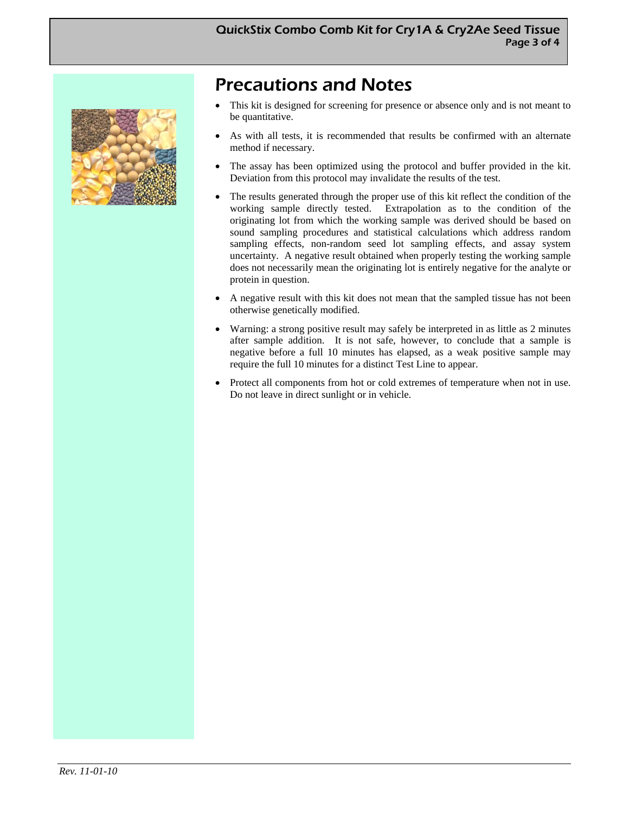

### Precautions and Notes

- This kit is designed for screening for presence or absence only and is not meant to be quantitative.
- As with all tests, it is recommended that results be confirmed with an alternate method if necessary.
- The assay has been optimized using the protocol and buffer provided in the kit. Deviation from this protocol may invalidate the results of the test.
- The results generated through the proper use of this kit reflect the condition of the working sample directly tested. Extrapolation as to the condition of the originating lot from which the working sample was derived should be based on sound sampling procedures and statistical calculations which address random sampling effects, non-random seed lot sampling effects, and assay system uncertainty. A negative result obtained when properly testing the working sample does not necessarily mean the originating lot is entirely negative for the analyte or protein in question.
- A negative result with this kit does not mean that the sampled tissue has not been otherwise genetically modified.
- Warning: a strong positive result may safely be interpreted in as little as 2 minutes after sample addition. It is not safe, however, to conclude that a sample is negative before a full 10 minutes has elapsed, as a weak positive sample may require the full 10 minutes for a distinct Test Line to appear.
- Protect all components from hot or cold extremes of temperature when not in use. Do not leave in direct sunlight or in vehicle.